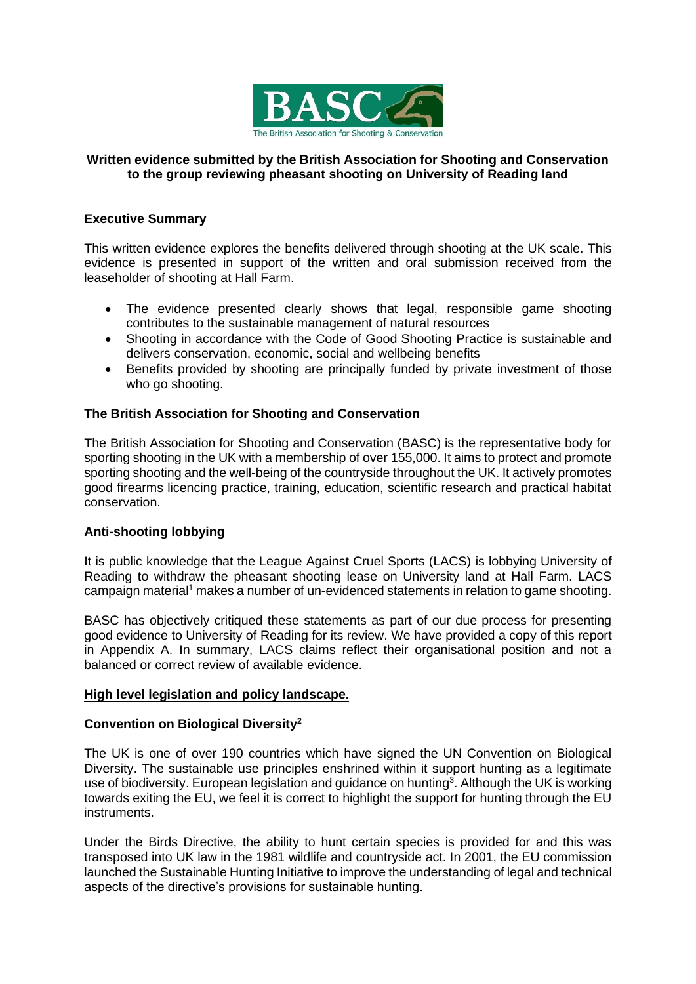

#### **Written evidence submitted by the British Association for Shooting and Conservation to the group reviewing pheasant shooting on University of Reading land**

# **Executive Summary**

This written evidence explores the benefits delivered through shooting at the UK scale. This evidence is presented in support of the written and oral submission received from the leaseholder of shooting at Hall Farm.

- The evidence presented clearly shows that legal, responsible game shooting contributes to the sustainable management of natural resources
- Shooting in accordance with the Code of Good Shooting Practice is sustainable and delivers conservation, economic, social and wellbeing benefits
- Benefits provided by shooting are principally funded by private investment of those who go shooting.

# **The British Association for Shooting and Conservation**

The British Association for Shooting and Conservation (BASC) is the representative body for sporting shooting in the UK with a membership of over 155,000. It aims to protect and promote sporting shooting and the well-being of the countryside throughout the UK. It actively promotes good firearms licencing practice, training, education, scientific research and practical habitat conservation.

# **Anti-shooting lobbying**

It is public knowledge that the League Against Cruel Sports (LACS) is lobbying University of Reading to withdraw the pheasant shooting lease on University land at Hall Farm. LACS campaign material<sup>1</sup> makes a number of un-evidenced statements in relation to game shooting.

BASC has objectively critiqued these statements as part of our due process for presenting good evidence to University of Reading for its review. We have provided a copy of this report in Appendix A. In summary, LACS claims reflect their organisational position and not a balanced or correct review of available evidence.

# **High level legislation and policy landscape.**

# **Convention on Biological Diversity<sup>2</sup>**

The UK is one of over 190 countries which have signed the UN Convention on Biological Diversity. The sustainable use principles enshrined within it support hunting as a legitimate use of biodiversity. European legislation and guidance on hunting<sup>3</sup>. Although the UK is working towards exiting the EU, we feel it is correct to highlight the support for hunting through the EU instruments.

Under the Birds Directive, the ability to hunt certain species is provided for and this was transposed into UK law in the 1981 wildlife and countryside act. In 2001, the EU commission launched the Sustainable Hunting Initiative to improve the understanding of legal and technical aspects of the directive's provisions for sustainable hunting.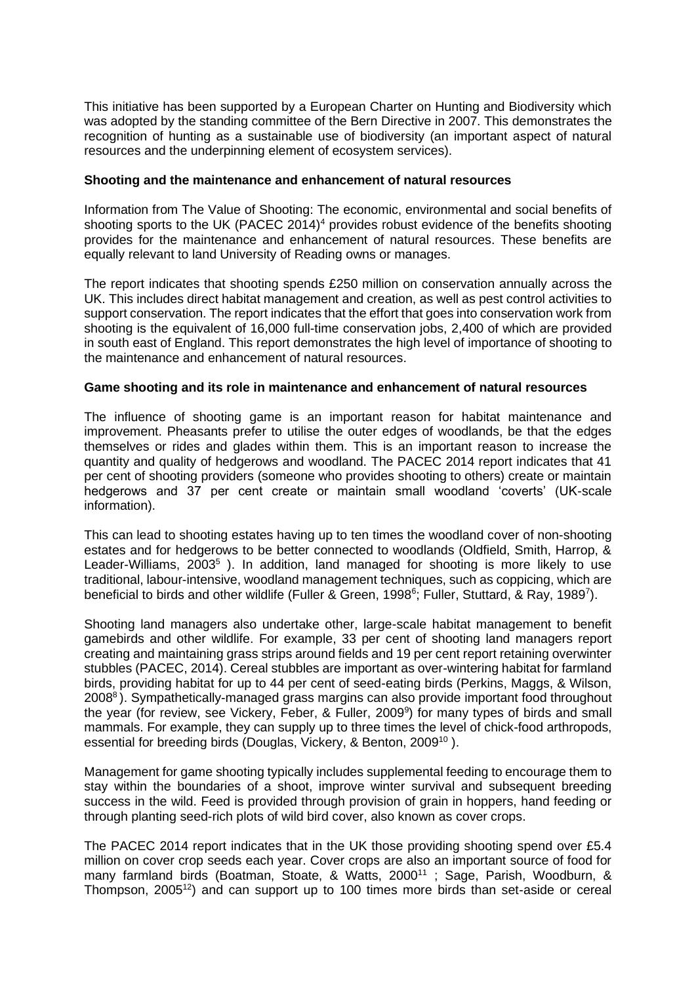This initiative has been supported by a European Charter on Hunting and Biodiversity which was adopted by the standing committee of the Bern Directive in 2007. This demonstrates the recognition of hunting as a sustainable use of biodiversity (an important aspect of natural resources and the underpinning element of ecosystem services).

#### **Shooting and the maintenance and enhancement of natural resources**

Information from The Value of Shooting: The economic, environmental and social benefits of shooting sports to the UK (PACEC 2014)<sup>4</sup> provides robust evidence of the benefits shooting provides for the maintenance and enhancement of natural resources. These benefits are equally relevant to land University of Reading owns or manages.

The report indicates that shooting spends £250 million on conservation annually across the UK. This includes direct habitat management and creation, as well as pest control activities to support conservation. The report indicates that the effort that goes into conservation work from shooting is the equivalent of 16,000 full-time conservation jobs, 2,400 of which are provided in south east of England. This report demonstrates the high level of importance of shooting to the maintenance and enhancement of natural resources.

# **Game shooting and its role in maintenance and enhancement of natural resources**

The influence of shooting game is an important reason for habitat maintenance and improvement. Pheasants prefer to utilise the outer edges of woodlands, be that the edges themselves or rides and glades within them. This is an important reason to increase the quantity and quality of hedgerows and woodland. The PACEC 2014 report indicates that 41 per cent of shooting providers (someone who provides shooting to others) create or maintain hedgerows and 37 per cent create or maintain small woodland 'coverts' (UK-scale information).

This can lead to shooting estates having up to ten times the woodland cover of non-shooting estates and for hedgerows to be better connected to woodlands (Oldfield, Smith, Harrop, & Leader-Williams, 2003<sup>5</sup>). In addition, land managed for shooting is more likely to use traditional, labour-intensive, woodland management techniques, such as coppicing, which are beneficial to birds and other wildlife (Fuller & Green, 1998<sup>6</sup>; Fuller, Stuttard, & Ray, 1989<sup>7</sup>).

Shooting land managers also undertake other, large-scale habitat management to benefit gamebirds and other wildlife. For example, 33 per cent of shooting land managers report creating and maintaining grass strips around fields and 19 per cent report retaining overwinter stubbles (PACEC, 2014). Cereal stubbles are important as over-wintering habitat for farmland birds, providing habitat for up to 44 per cent of seed-eating birds (Perkins, Maggs, & Wilson, 2008<sup>8</sup>). Sympathetically-managed grass margins can also provide important food throughout the year (for review, see Vickery, Feber, & Fuller, 2009<sup>9</sup>) for many types of birds and small mammals. For example, they can supply up to three times the level of chick-food arthropods, essential for breeding birds (Douglas, Vickery, & Benton, 2009<sup>10</sup>).

Management for game shooting typically includes supplemental feeding to encourage them to stay within the boundaries of a shoot, improve winter survival and subsequent breeding success in the wild. Feed is provided through provision of grain in hoppers, hand feeding or through planting seed-rich plots of wild bird cover, also known as cover crops.

The PACEC 2014 report indicates that in the UK those providing shooting spend over £5.4 million on cover crop seeds each year. Cover crops are also an important source of food for many farmland birds (Boatman, Stoate, & Watts, 2000<sup>11</sup>; Sage, Parish, Woodburn, & Thompson, 2005<sup>12</sup>) and can support up to 100 times more birds than set-aside or cereal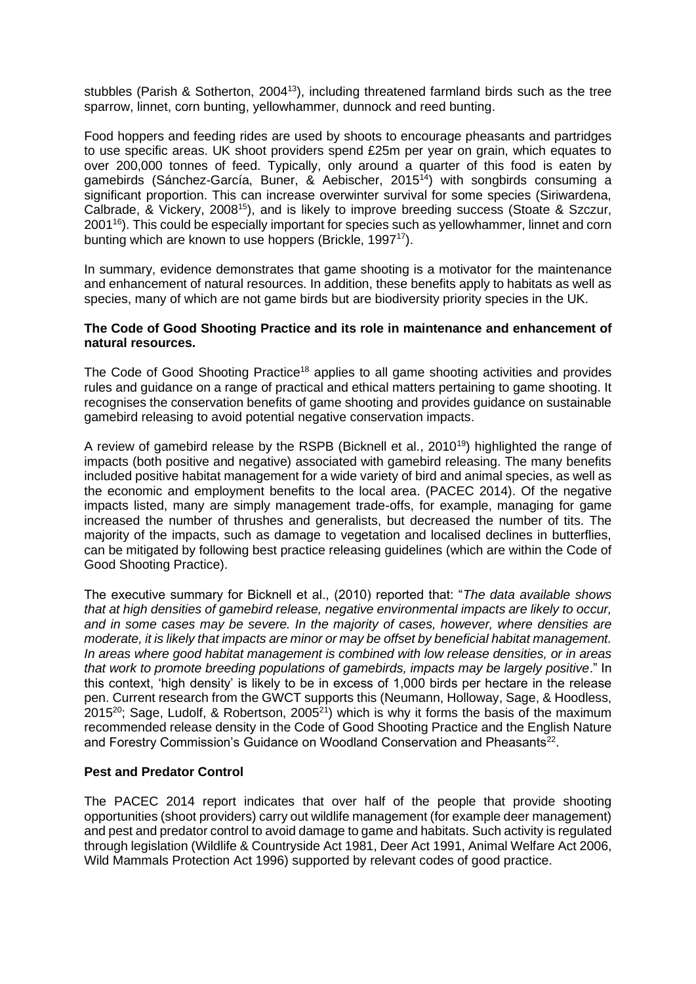stubbles (Parish & Sotherton, 2004<sup>13</sup>), including threatened farmland birds such as the tree sparrow, linnet, corn bunting, yellowhammer, dunnock and reed bunting.

Food hoppers and feeding rides are used by shoots to encourage pheasants and partridges to use specific areas. UK shoot providers spend £25m per year on grain, which equates to over 200,000 tonnes of feed. Typically, only around a quarter of this food is eaten by gamebirds (Sánchez-García, Buner, & Aebischer, 2015<sup>14</sup>) with songbirds consuming a significant proportion. This can increase overwinter survival for some species (Siriwardena, Calbrade, & Vickery, 2008<sup>15</sup>), and is likely to improve breeding success (Stoate & Szczur, 2001<sup>16</sup>). This could be especially important for species such as yellowhammer, linnet and corn bunting which are known to use hoppers (Brickle, 1997<sup>17</sup>).

In summary, evidence demonstrates that game shooting is a motivator for the maintenance and enhancement of natural resources. In addition, these benefits apply to habitats as well as species, many of which are not game birds but are biodiversity priority species in the UK.

#### **The Code of Good Shooting Practice and its role in maintenance and enhancement of natural resources.**

The Code of Good Shooting Practice<sup>18</sup> applies to all game shooting activities and provides rules and guidance on a range of practical and ethical matters pertaining to game shooting. It recognises the conservation benefits of game shooting and provides guidance on sustainable gamebird releasing to avoid potential negative conservation impacts.

A review of gamebird release by the RSPB (Bicknell et al., 2010<sup>19</sup>) highlighted the range of impacts (both positive and negative) associated with gamebird releasing. The many benefits included positive habitat management for a wide variety of bird and animal species, as well as the economic and employment benefits to the local area. (PACEC 2014). Of the negative impacts listed, many are simply management trade-offs, for example, managing for game increased the number of thrushes and generalists, but decreased the number of tits. The majority of the impacts, such as damage to vegetation and localised declines in butterflies, can be mitigated by following best practice releasing guidelines (which are within the Code of Good Shooting Practice).

The executive summary for Bicknell et al., (2010) reported that: "*The data available shows that at high densities of gamebird release, negative environmental impacts are likely to occur, and in some cases may be severe. In the majority of cases, however, where densities are moderate, it is likely that impacts are minor or may be offset by beneficial habitat management. In areas where good habitat management is combined with low release densities, or in areas that work to promote breeding populations of gamebirds, impacts may be largely positive*." In this context, 'high density' is likely to be in excess of 1,000 birds per hectare in the release pen. Current research from the GWCT supports this (Neumann, Holloway, Sage, & Hoodless, 2015 $^{20}$ ; Sage, Ludolf, & Robertson, 2005 $^{21}$ ) which is why it forms the basis of the maximum recommended release density in the Code of Good Shooting Practice and the English Nature and Forestry Commission's Guidance on Woodland Conservation and Pheasants<sup>22</sup>.

#### **Pest and Predator Control**

The PACEC 2014 report indicates that over half of the people that provide shooting opportunities (shoot providers) carry out wildlife management (for example deer management) and pest and predator control to avoid damage to game and habitats. Such activity is regulated through legislation (Wildlife & Countryside Act 1981, Deer Act 1991, Animal Welfare Act 2006, Wild Mammals Protection Act 1996) supported by relevant codes of good practice.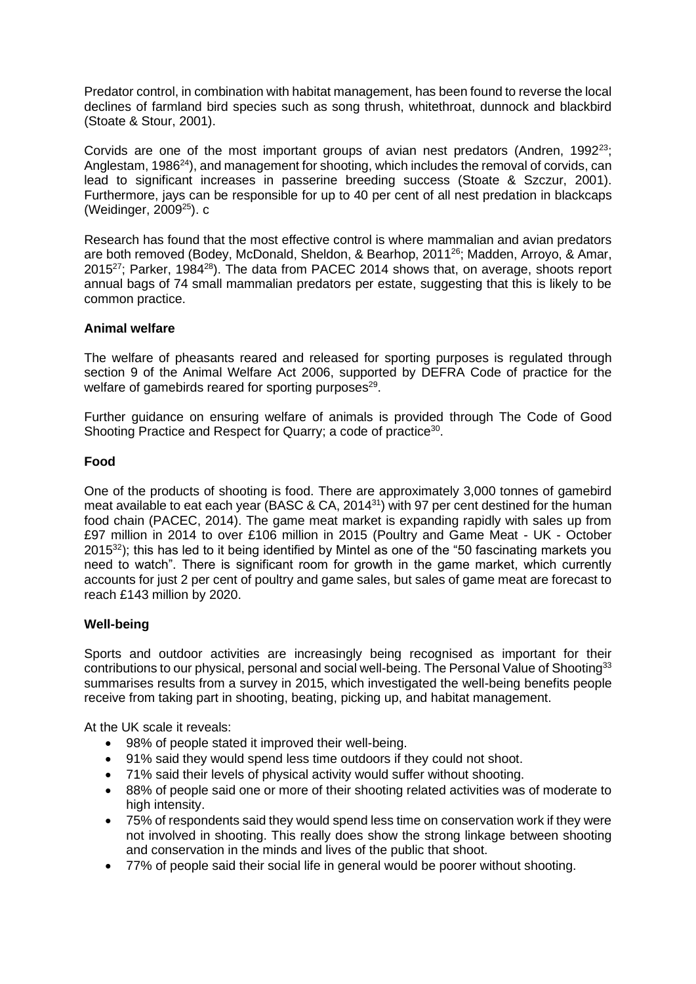Predator control, in combination with habitat management, has been found to reverse the local declines of farmland bird species such as song thrush, whitethroat, dunnock and blackbird (Stoate & Stour, 2001).

Corvids are one of the most important groups of avian nest predators (Andren,  $1992^{23}$ ; Anglestam, 1986<sup>24</sup>), and management for shooting, which includes the removal of corvids, can lead to significant increases in passerine breeding success (Stoate & Szczur, 2001). Furthermore, jays can be responsible for up to 40 per cent of all nest predation in blackcaps (Weidinger, 2009<sup>25</sup>). c

Research has found that the most effective control is where mammalian and avian predators are both removed (Bodey, McDonald, Sheldon, & Bearhop, 2011<sup>26</sup>; Madden, Arroyo, & Amar, 2015<sup>27</sup>; Parker, 1984<sup>28</sup>). The data from PACEC 2014 shows that, on average, shoots report annual bags of 74 small mammalian predators per estate, suggesting that this is likely to be common practice.

# **Animal welfare**

The welfare of pheasants reared and released for sporting purposes is regulated through section 9 of the Animal Welfare Act 2006, supported by DEFRA Code of practice for the welfare of gamebirds reared for sporting purposes<sup>29</sup>.

Further guidance on ensuring welfare of animals is provided through The Code of Good Shooting Practice and Respect for Quarry; a code of practice<sup>30</sup>.

#### **Food**

One of the products of shooting is food. There are approximately 3,000 tonnes of gamebird meat available to eat each year (BASC & CA, 2014<sup>31</sup>) with 97 per cent destined for the human food chain (PACEC, 2014). The game meat market is expanding rapidly with sales up from £97 million in 2014 to over £106 million in 2015 (Poultry and Game Meat - UK - October 2015<sup>32</sup>); this has led to it being identified by Mintel as one of the "50 fascinating markets you need to watch". There is significant room for growth in the game market, which currently accounts for just 2 per cent of poultry and game sales, but sales of game meat are forecast to reach £143 million by 2020.

#### **Well-being**

Sports and outdoor activities are increasingly being recognised as important for their contributions to our physical, personal and social well-being. The Personal Value of Shooting<sup>33</sup> summarises results from a survey in 2015, which investigated the well-being benefits people receive from taking part in shooting, beating, picking up, and habitat management.

At the UK scale it reveals:

- 98% of people stated it improved their well-being.
- 91% said they would spend less time outdoors if they could not shoot.
- 71% said their levels of physical activity would suffer without shooting.
- 88% of people said one or more of their shooting related activities was of moderate to high intensity.
- 75% of respondents said they would spend less time on conservation work if they were not involved in shooting. This really does show the strong linkage between shooting and conservation in the minds and lives of the public that shoot.
- 77% of people said their social life in general would be poorer without shooting.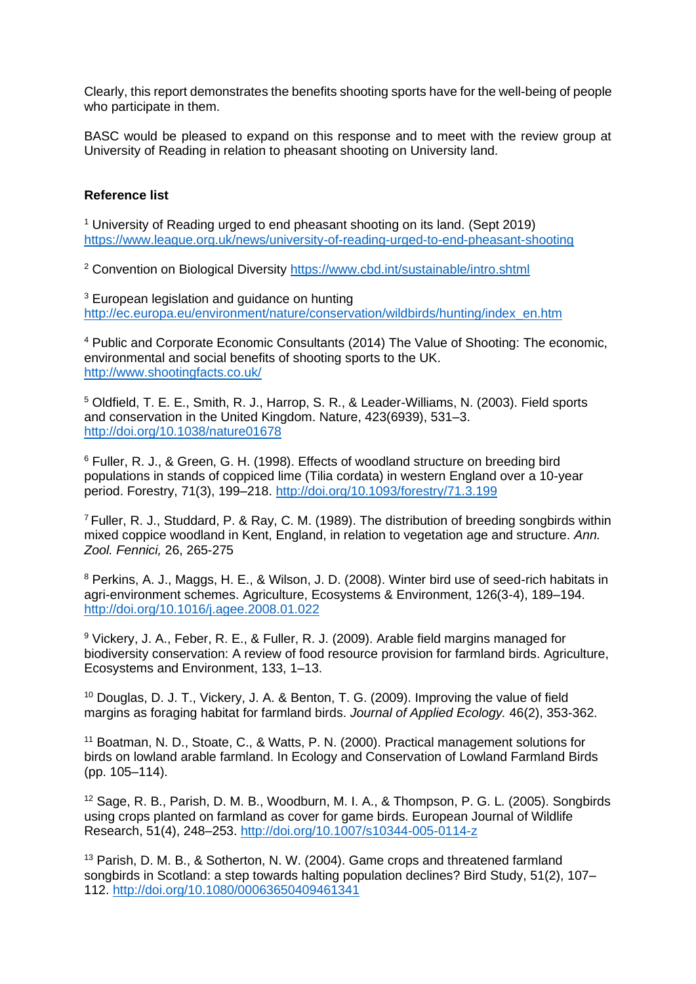Clearly, this report demonstrates the benefits shooting sports have for the well-being of people who participate in them.

BASC would be pleased to expand on this response and to meet with the review group at University of Reading in relation to pheasant shooting on University land.

#### **Reference list**

<sup>1</sup> University of Reading urged to end pheasant shooting on its land. (Sept 2019) <https://www.league.org.uk/news/university-of-reading-urged-to-end-pheasant-shooting>

<sup>2</sup> Convention on Biological Diversity<https://www.cbd.int/sustainable/intro.shtml>

<sup>3</sup> European legislation and guidance on hunting [http://ec.europa.eu/environment/nature/conservation/wildbirds/hunting/index\\_en.htm](http://ec.europa.eu/environment/nature/conservation/wildbirds/hunting/index_en.htm)

<sup>4</sup> Public and Corporate Economic Consultants (2014) The Value of Shooting: The economic, environmental and social benefits of shooting sports to the UK. <http://www.shootingfacts.co.uk/>

<sup>5</sup> Oldfield, T. E. E., Smith, R. J., Harrop, S. R., & Leader-Williams, N. (2003). Field sports and conservation in the United Kingdom. Nature, 423(6939), 531–3. <http://doi.org/10.1038/nature01678>

<sup>6</sup> Fuller, R. J., & Green, G. H. (1998). Effects of woodland structure on breeding bird populations in stands of coppiced lime (Tilia cordata) in western England over a 10-year period. Forestry, 71(3), 199–218.<http://doi.org/10.1093/forestry/71.3.199>

<sup>7</sup>Fuller, R. J., Studdard, P. & Ray, C. M. (1989). The distribution of breeding songbirds within mixed coppice woodland in Kent, England, in relation to vegetation age and structure. *Ann. Zool. Fennici,* 26, 265-275

<sup>8</sup> Perkins, A. J., Maggs, H. E., & Wilson, J. D. (2008). Winter bird use of seed-rich habitats in agri-environment schemes. Agriculture, Ecosystems & Environment, 126(3-4), 189–194. <http://doi.org/10.1016/j.agee.2008.01.022>

<sup>9</sup> Vickery, J. A., Feber, R. E., & Fuller, R. J. (2009). Arable field margins managed for biodiversity conservation: A review of food resource provision for farmland birds. Agriculture, Ecosystems and Environment, 133, 1–13.

<sup>10</sup> Douglas, D. J. T., Vickery, J. A. & Benton, T. G. (2009). Improving the value of field margins as foraging habitat for farmland birds. *Journal of Applied Ecology.* 46(2), 353-362.

<sup>11</sup> Boatman, N. D., Stoate, C., & Watts, P. N. (2000). Practical management solutions for birds on lowland arable farmland. In Ecology and Conservation of Lowland Farmland Birds (pp. 105–114).

<sup>12</sup> Sage, R. B., Parish, D. M. B., Woodburn, M. I. A., & Thompson, P. G. L. (2005). Songbirds using crops planted on farmland as cover for game birds. European Journal of Wildlife Research, 51(4), 248–253.<http://doi.org/10.1007/s10344-005-0114-z>

<sup>13</sup> Parish, D. M. B., & Sotherton, N. W. (2004). Game crops and threatened farmland songbirds in Scotland: a step towards halting population declines? Bird Study, 51(2), 107– 112.<http://doi.org/10.1080/00063650409461341>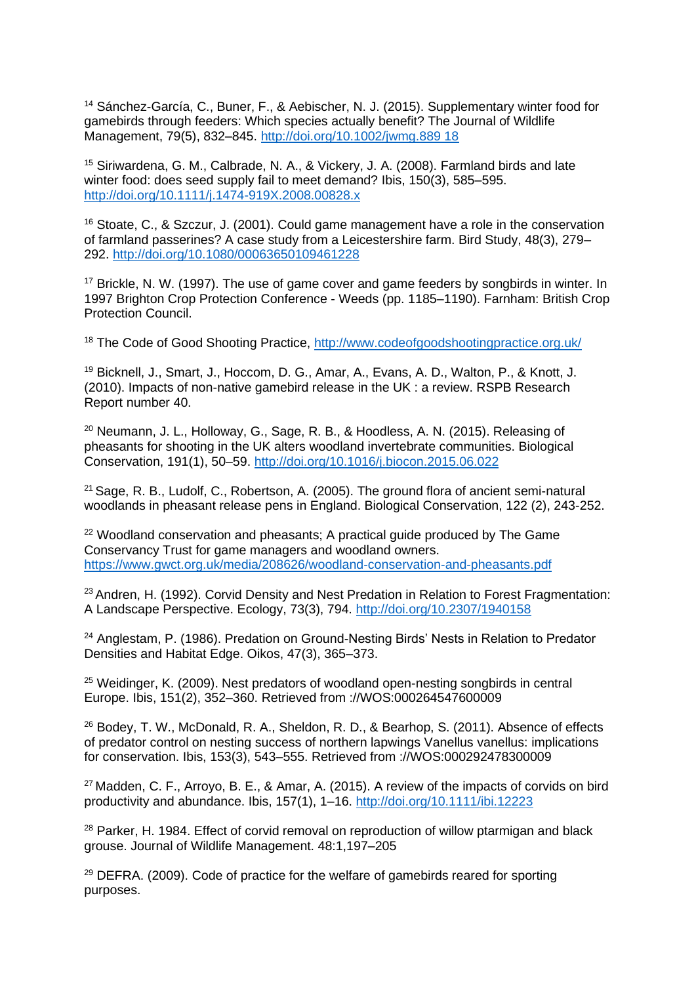<sup>14</sup> Sánchez-García, C., Buner, F., & Aebischer, N. J. (2015). Supplementary winter food for gamebirds through feeders: Which species actually benefit? The Journal of Wildlife Management, 79(5), 832–845. [http://doi.org/10.1002/jwmg.889 18](http://doi.org/10.1002/jwmg.889%2018)

<sup>15</sup> Siriwardena, G. M., Calbrade, N. A., & Vickery, J. A. (2008). Farmland birds and late winter food: does seed supply fail to meet demand? Ibis, 150(3), 585–595. <http://doi.org/10.1111/j.1474-919X.2008.00828.x>

<sup>16</sup> Stoate, C., & Szczur, J. (2001). Could game management have a role in the conservation of farmland passerines? A case study from a Leicestershire farm. Bird Study, 48(3), 279– 292.<http://doi.org/10.1080/00063650109461228>

<sup>17</sup> Brickle, N. W. (1997). The use of game cover and game feeders by songbirds in winter. In 1997 Brighton Crop Protection Conference - Weeds (pp. 1185–1190). Farnham: British Crop Protection Council.

<sup>18</sup> The Code of Good Shooting Practice,<http://www.codeofgoodshootingpractice.org.uk/>

<sup>19</sup> Bicknell, J., Smart, J., Hoccom, D. G., Amar, A., Evans, A. D., Walton, P., & Knott, J. (2010). Impacts of non-native gamebird release in the UK : a review. RSPB Research Report number 40.

<sup>20</sup> Neumann, J. L., Holloway, G., Sage, R. B., & Hoodless, A. N. (2015). Releasing of pheasants for shooting in the UK alters woodland invertebrate communities. Biological Conservation, 191(1), 50–59.<http://doi.org/10.1016/j.biocon.2015.06.022>

<sup>21</sup> Sage, R. B., Ludolf, C., Robertson, A. (2005). The ground flora of ancient semi-natural woodlands in pheasant release pens in England. Biological Conservation, 122 (2), 243-252.

<sup>22</sup> Woodland conservation and pheasants; A practical guide produced by The Game Conservancy Trust for game managers and woodland owners. <https://www.gwct.org.uk/media/208626/woodland-conservation-and-pheasants.pdf>

<sup>23</sup> Andren, H. (1992). Corvid Density and Nest Predation in Relation to Forest Fragmentation: A Landscape Perspective. Ecology, 73(3), 794.<http://doi.org/10.2307/1940158>

<sup>24</sup> Anglestam, P. (1986). Predation on Ground-Nesting Birds' Nests in Relation to Predator Densities and Habitat Edge. Oikos, 47(3), 365–373.

<sup>25</sup> Weidinger, K. (2009). Nest predators of woodland open-nesting songbirds in central Europe. Ibis, 151(2), 352–360. Retrieved from ://WOS:000264547600009

<sup>26</sup> Bodey, T. W., McDonald, R. A., Sheldon, R. D., & Bearhop, S. (2011). Absence of effects of predator control on nesting success of northern lapwings Vanellus vanellus: implications for conservation. Ibis, 153(3), 543–555. Retrieved from ://WOS:000292478300009

 $27$  Madden, C. F., Arroyo, B. E., & Amar, A. (2015). A review of the impacts of corvids on bird productivity and abundance. Ibis, 157(1), 1–16.<http://doi.org/10.1111/ibi.12223>

<sup>28</sup> Parker, H. 1984. Effect of corvid removal on reproduction of willow ptarmigan and black grouse. Journal of Wildlife Management. 48:1,197–205

<sup>29</sup> DEFRA. (2009). Code of practice for the welfare of gamebirds reared for sporting purposes.